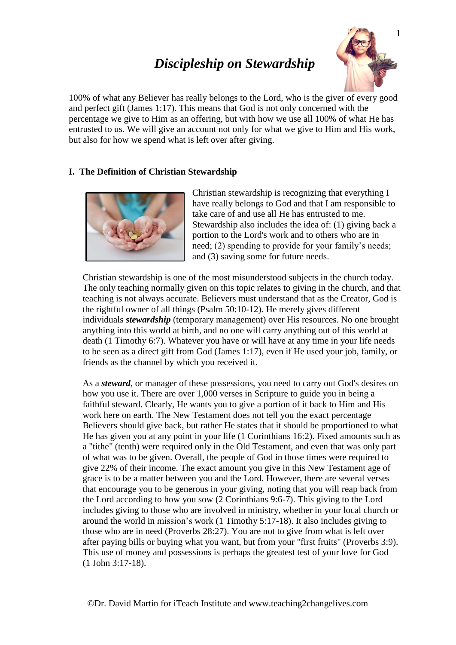# *Discipleship on Stewardship*



100% of what any Believer has really belongs to the Lord, who is the giver of every good and perfect gift (James 1:17). This means that God is not only concerned with the percentage we give to Him as an offering, but with how we use all 100% of what He has entrusted to us. We will give an account not only for what we give to Him and His work, but also for how we spend what is left over after giving.

## **I. The Definition of Christian Stewardship**



Christian stewardship is recognizing that everything I have really belongs to God and that I am responsible to take care of and use all He has entrusted to me. Stewardship also includes the idea of: (1) giving back a portion to the Lord's work and to others who are in need; (2) spending to provide for your family's needs; and (3) saving some for future needs.

Christian stewardship is one of the most misunderstood subjects in the church today. The only teaching normally given on this topic relates to giving in the church, and that teaching is not always accurate. Believers must understand that as the Creator, God is the rightful owner of all things (Psalm 50:10-12). He merely gives different individuals *stewardship* (temporary management) over His resources. No one brought anything into this world at birth, and no one will carry anything out of this world at death (1 Timothy 6:7). Whatever you have or will have at any time in your life needs to be seen as a direct gift from God (James 1:17), even if He used your job, family, or friends as the channel by which you received it.

As a *steward*, or manager of these possessions, you need to carry out God's desires on how you use it. There are over 1,000 verses in Scripture to guide you in being a faithful steward. Clearly, He wants you to give a portion of it back to Him and His work here on earth. The New Testament does not tell you the exact percentage Believers should give back, but rather He states that it should be proportioned to what He has given you at any point in your life (1 Corinthians 16:2). Fixed amounts such as a "tithe" (tenth) were required only in the Old Testament, and even that was only part of what was to be given. Overall, the people of God in those times were required to give 22% of their income. The exact amount you give in this New Testament age of grace is to be a matter between you and the Lord. However, there are several verses that encourage you to be generous in your giving, noting that you will reap back from the Lord according to how you sow (2 Corinthians 9:6-7). This giving to the Lord includes giving to those who are involved in ministry, whether in your local church or around the world in mission's work (1 Timothy 5:17-18). It also includes giving to those who are in need (Proverbs 28:27). You are not to give from what is left over after paying bills or buying what you want, but from your "first fruits" (Proverbs 3:9). This use of money and possessions is perhaps the greatest test of your love for God (1 John 3:17-18).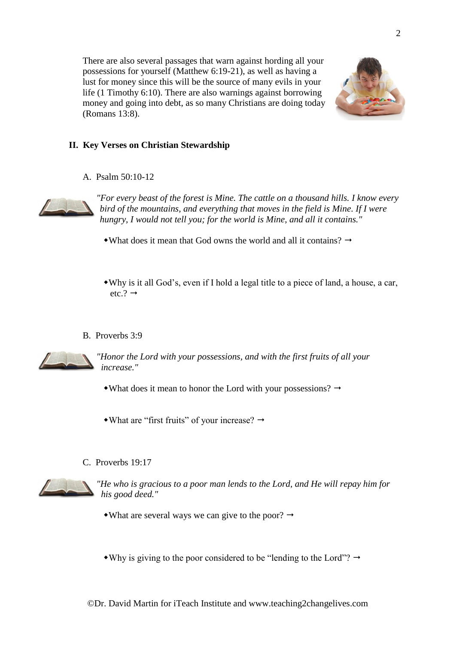There are also several passages that warn against hording all your possessions for yourself (Matthew 6:19-21), as well as having a lust for money since this will be the source of many evils in your life (1 Timothy 6:10). There are also warnings against borrowing money and going into debt, as so many Christians are doing today (Romans 13:8).



## **II. Key Verses on Christian Stewardship**

A. Psalm 50:10-12



*"For every beast of the forest is Mine. The cattle on a thousand hills. I know every bird of the mountains, and everything that moves in the field is Mine. If I were hungry, I would not tell you; for the world is Mine, and all it contains."*

- What does it mean that God owns the world and all it contains?  $\rightarrow$
- Why is it all God's, even if I hold a legal title to a piece of land, a house, a car,  $etc.? \rightarrow$
- B. Proverbs 3:9



*"Honor the Lord with your possessions, and with the first fruits of all your increase."*

- What does it mean to honor the Lord with your possessions?  $\rightarrow$
- $\bullet$  What are "first fruits" of your increase?  $\rightarrow$
- C. Proverbs 19:17



*"He who is gracious to a poor man lends to the Lord, and He will repay him for his good deed."*

- What are several ways we can give to the poor?  $\rightarrow$
- Why is giving to the poor considered to be "lending to the Lord"?  $\rightarrow$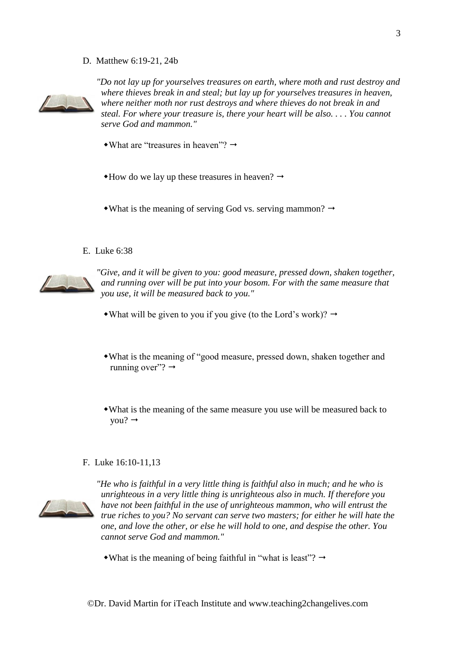D. Matthew 6:19-21, 24b



*"Do not lay up for yourselves treasures on earth, where moth and rust destroy and where thieves break in and steal; but lay up for yourselves treasures in heaven, where neither moth nor rust destroys and where thieves do not break in and steal. For where your treasure is, there your heart will be also. . . . You cannot serve God and mammon."*

- $\bullet$ What are "treasures in heaven"?  $\rightarrow$
- $*$ How do we lay up these treasures in heaven?  $\rightarrow$

• What is the meaning of serving God vs. serving mammon?  $\rightarrow$ 

E. Luke 6:38



*"Give, and it will be given to you: good measure, pressed down, shaken together, and running over will be put into your bosom. For with the same measure that you use, it will be measured back to you."*

- What will be given to you if you give (to the Lord's work)?  $\rightarrow$
- What is the meaning of "good measure, pressed down, shaken together and running over"?  $\rightarrow$
- What is the meaning of the same measure you use will be measured back to you?  $\rightarrow$

## F. Luke 16:10-11,13



*"He who is faithful in a very little thing is faithful also in much; and he who is unrighteous in a very little thing is unrighteous also in much. If therefore you have not been faithful in the use of unrighteous mammon, who will entrust the true riches to you? No servant can serve two masters; for either he will hate the one, and love the other, or else he will hold to one, and despise the other. You cannot serve God and mammon."*

• What is the meaning of being faithful in "what is least"?  $\rightarrow$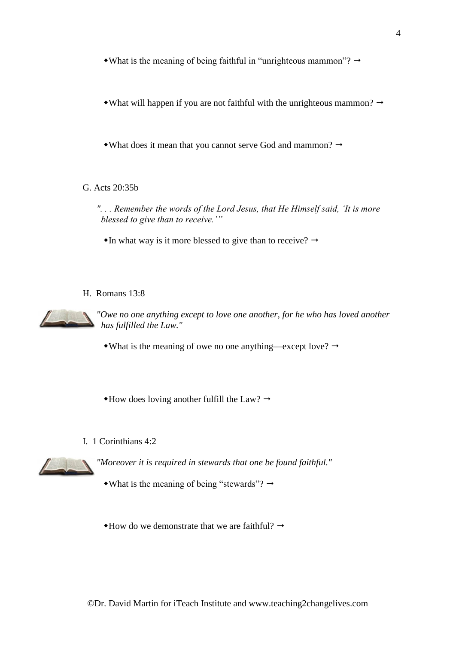• What is the meaning of being faithful in "unrighteous mammon"?  $\rightarrow$ 

• What will happen if you are not faithful with the unrighteous mammon?  $\rightarrow$ 

• What does it mean that you cannot serve God and mammon?  $\rightarrow$ 

G. Acts 20:35b

*". . . Remember the words of the Lord Jesus, that He Himself said, 'It is more blessed to give than to receive.'"*

 $\bullet$  In what way is it more blessed to give than to receive?  $\rightarrow$ 

## H. Romans 13:8



*"Owe no one anything except to love one another, for he who has loved another has fulfilled the Law."*

• What is the meaning of owe no one anything—except love?  $\rightarrow$ 

 $\triangle$ How does loving another fulfill the Law?  $\rightarrow$ 

I. 1 Corinthians 4:2



*"Moreover it is required in stewards that one be found faithful."*

• What is the meaning of being "stewards"?  $\rightarrow$ 

 $*$ How do we demonstrate that we are faithful?  $\rightarrow$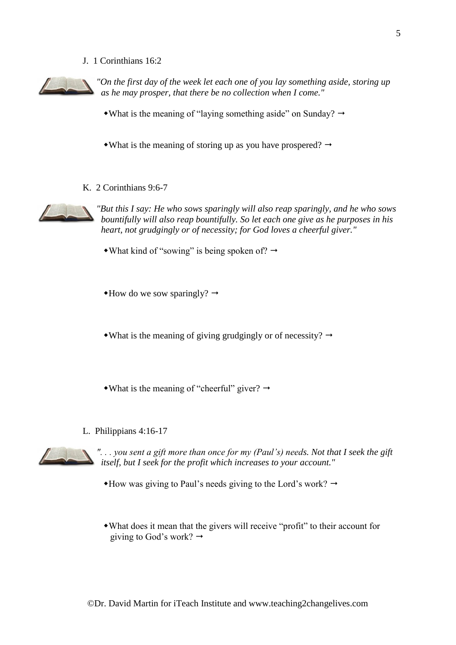J. 1 Corinthians 16:2



*"On the first day of the week let each one of you lay something aside, storing up as he may prosper, that there be no collection when I come."*

• What is the meaning of "laying something aside" on Sunday?  $\rightarrow$ 

• What is the meaning of storing up as you have prospered?  $\rightarrow$ 

K. 2 Corinthians 9:6-7



*"But this I say: He who sows sparingly will also reap sparingly, and he who sows bountifully will also reap bountifully. So let each one give as he purposes in his heart, not grudgingly or of necessity; for God loves a cheerful giver."*

- What kind of "sowing" is being spoken of?  $\rightarrow$
- $\triangleleft$ How do we sow sparingly?  $\rightarrow$

• What is the meaning of giving grudgingly or of necessity?  $\rightarrow$ 

- What is the meaning of "cheerful" giver?  $\rightarrow$
- L. Philippians 4:16-17



*". . . you sent a gift more than once for my (Paul's) needs. Not that I seek the gift itself, but I seek for the profit which increases to your account."*

 $*$ How was giving to Paul's needs giving to the Lord's work?  $\rightarrow$ 

What does it mean that the givers will receive "profit" to their account for giving to God's work?  $\rightarrow$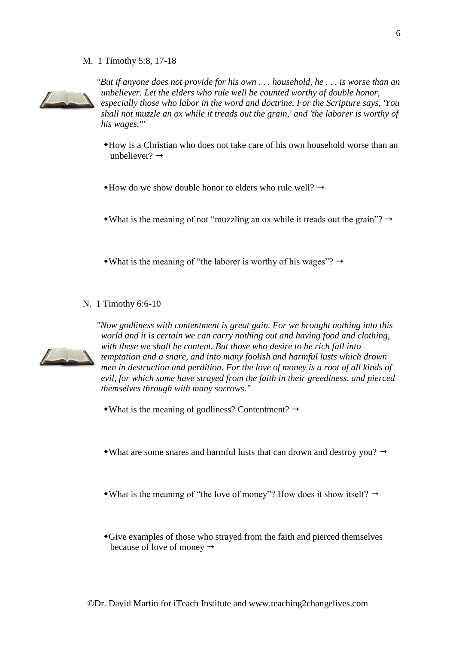M. 1 Timothy 5:8, 17-18



*"But if anyone does not provide for his own . . . household, he . . . is worse than an unbeliever. Let the elders who rule well be counted worthy of double honor, especially those who labor in the word and doctrine. For the Scripture says, 'You shall not muzzle an ox while it treads out the grain,' and 'the laborer is worthy of his wages.'"*

- How is a Christian who does not take care of his own household worse than an unbeliever?  $\rightarrow$
- $\triangle$ How do we show double honor to elders who rule well?  $\rightarrow$

• What is the meaning of not "muzzling an ox while it treads out the grain"?  $\rightarrow$ 

- What is the meaning of "the laborer is worthy of his wages"?  $\rightarrow$
- N. 1 Timothy 6:6-10



*"Now godliness with contentment is great gain. For we brought nothing into this world and it is certain we can carry nothing out and having food and clothing, with these we shall be content. But those who desire to be rich fall into temptation and a snare, and into many foolish and harmful lusts which drown men in destruction and perdition. For the love of money is a root of all kinds of evil, for which some have strayed from the faith in their greediness, and pierced themselves through with many sorrows."*

- $\bullet$ What is the meaning of godliness? Contentment?  $\rightarrow$
- What are some snares and harmful lusts that can drown and destroy you?  $\rightarrow$
- What is the meaning of "the love of money"? How does it show itself?  $\rightarrow$
- Give examples of those who strayed from the faith and pierced themselves because of love of money  $\rightarrow$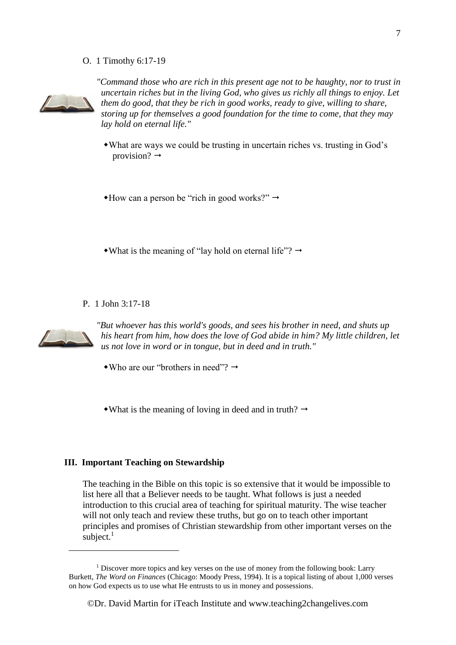O. 1 Timothy 6:17-19



*"Command those who are rich in this present age not to be haughty, nor to trust in uncertain riches but in the living God, who gives us richly all things to enjoy. Let them do good, that they be rich in good works, ready to give, willing to share, storing up for themselves a good foundation for the time to come, that they may lay hold on eternal life."*

What are ways we could be trusting in uncertain riches vs. trusting in God's provision?  $\rightarrow$ 

 $\triangle$ How can a person be "rich in good works?"

• What is the meaning of "lay hold on eternal life"?  $\rightarrow$ 

P. 1 John 3:17-18



1

*"But whoever has this world's goods, and sees his brother in need, and shuts up his heart from him, how does the love of God abide in him? My little children, let us not love in word or in tongue, but in deed and in truth."*

• Who are our "brothers in need"?  $\rightarrow$ 

• What is the meaning of loving in deed and in truth?  $\rightarrow$ 

#### **III. Important Teaching on Stewardship**

The teaching in the Bible on this topic is so extensive that it would be impossible to list here all that a Believer needs to be taught. What follows is just a needed introduction to this crucial area of teaching for spiritual maturity. The wise teacher will not only teach and review these truths, but go on to teach other important principles and promises of Christian stewardship from other important verses on the subject. $1$ 

<sup>&</sup>lt;sup>1</sup> Discover more topics and key verses on the use of money from the following book: Larry Burkett, *The Word on Finances* (Chicago: Moody Press, 1994). It is a topical listing of about 1,000 verses on how God expects us to use what He entrusts to us in money and possessions.

<sup>©</sup>Dr. David Martin for iTeach Institute and www.teaching2changelives.com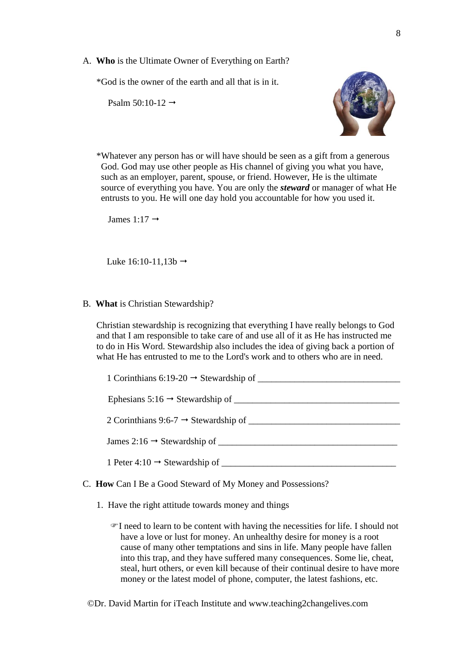A. **Who** is the Ultimate Owner of Everything on Earth?

\*God is the owner of the earth and all that is in it.

Psalm 50:10-12  $\rightarrow$ 



\*Whatever any person has or will have should be seen as a gift from a generous God. God may use other people as His channel of giving you what you have, such as an employer, parent, spouse, or friend. However, He is the ultimate source of everything you have. You are only the *steward* or manager of what He entrusts to you. He will one day hold you accountable for how you used it.

James 1:17  $\rightarrow$ 

Luke  $16:10-11,13b \rightarrow$ 

#### B. **What** is Christian Stewardship?

Christian stewardship is recognizing that everything I have really belongs to God and that I am responsible to take care of and use all of it as He has instructed me to do in His Word. Stewardship also includes the idea of giving back a portion of what He has entrusted to me to the Lord's work and to others who are in need.

| Ephesians $5:16 \rightarrow$ Stewardship of      |
|--------------------------------------------------|
| 2 Corinthians 9:6-7 $\rightarrow$ Stewardship of |
|                                                  |
| James $2:16 \rightarrow$ Stewardship of          |
| 1 Peter 4:10 $\rightarrow$ Stewardship of ___    |

#### C. **How** Can I Be a Good Steward of My Money and Possessions?

- 1. Have the right attitude towards money and things
	- I need to learn to be content with having the necessities for life. I should not have a love or lust for money. An unhealthy desire for money is a root cause of many other temptations and sins in life. Many people have fallen into this trap, and they have suffered many consequences. Some lie, cheat, steal, hurt others, or even kill because of their continual desire to have more money or the latest model of phone, computer, the latest fashions, etc.

©Dr. David Martin for iTeach Institute and www.teaching2changelives.com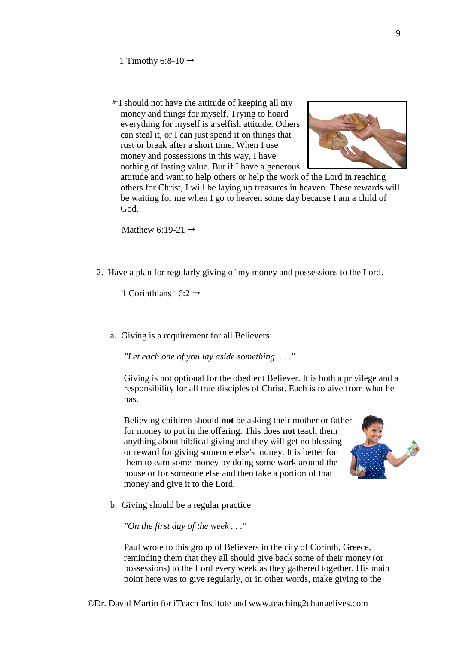I should not have the attitude of keeping all my money and things for myself. Trying to hoard everything for myself is a selfish attitude. Others can steal it, or I can just spend it on things that rust or break after a short time. When I use money and possessions in this way, I have nothing of lasting value. But if I have a generous



attitude and want to help others or help the work of the Lord in reaching others for Christ, I will be laying up treasures in heaven. These rewards will be waiting for me when I go to heaven some day because I am a child of God.

Matthew 6:19-21  $\rightarrow$ 

2. Have a plan for regularly giving of my money and possessions to the Lord.

1 Corinthians  $16:2 \rightarrow$ 

a. Giving is a requirement for all Believers

*"Let each one of you lay aside something. . . ."*

Giving is not optional for the obedient Believer. It is both a privilege and a responsibility for all true disciples of Christ. Each is to give from what he has.

Believing children should **not** be asking their mother or father for money to put in the offering. This does **not** teach them anything about biblical giving and they will get no blessing or reward for giving someone else's money. It is better for them to earn some money by doing some work around the house or for someone else and then take a portion of that money and give it to the Lord.



b. Giving should be a regular practice

*"On the first day of the week . . ."*

Paul wrote to this group of Believers in the city of Corinth, Greece, reminding them that they all should give back some of their money (or possessions) to the Lord every week as they gathered together. His main point here was to give regularly, or in other words, make giving to the

©Dr. David Martin for iTeach Institute and www.teaching2changelives.com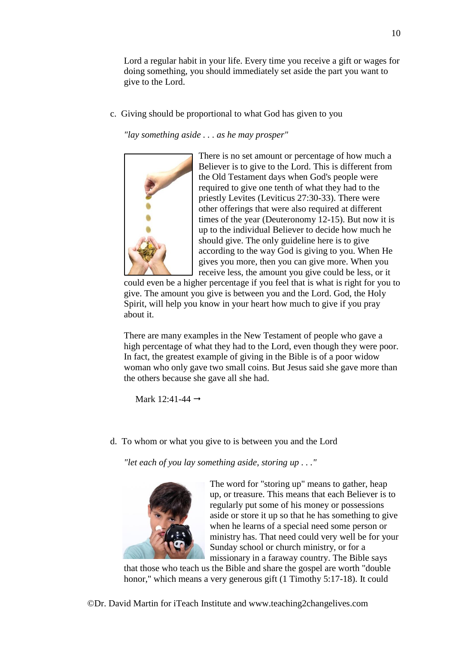Lord a regular habit in your life. Every time you receive a gift or wages for doing something, you should immediately set aside the part you want to give to the Lord.

c. Giving should be proportional to what God has given to you

*"lay something aside . . . as he may prosper"*



There is no set amount or percentage of how much a Believer is to give to the Lord. This is different from the Old Testament days when God's people were required to give one tenth of what they had to the priestly Levites (Leviticus 27:30-33). There were other offerings that were also required at different times of the year (Deuteronomy 12-15). But now it is up to the individual Believer to decide how much he should give. The only guideline here is to give according to the way God is giving to you. When He gives you more, then you can give more. When you receive less, the amount you give could be less, or it

could even be a higher percentage if you feel that is what is right for you to give. The amount you give is between you and the Lord. God, the Holy Spirit, will help you know in your heart how much to give if you pray about it.

There are many examples in the New Testament of people who gave a high percentage of what they had to the Lord, even though they were poor. In fact, the greatest example of giving in the Bible is of a poor widow woman who only gave two small coins. But Jesus said she gave more than the others because she gave all she had.

Mark 12:41-44  $\rightarrow$ 

d. To whom or what you give to is between you and the Lord

*"let each of you lay something aside, storing up . . ."*



The word for "storing up" means to gather, heap up, or treasure. This means that each Believer is to regularly put some of his money or possessions aside or store it up so that he has something to give when he learns of a special need some person or ministry has. That need could very well be for your Sunday school or church ministry, or for a missionary in a faraway country. The Bible says

that those who teach us the Bible and share the gospel are worth "double honor," which means a very generous gift (1 Timothy 5:17-18). It could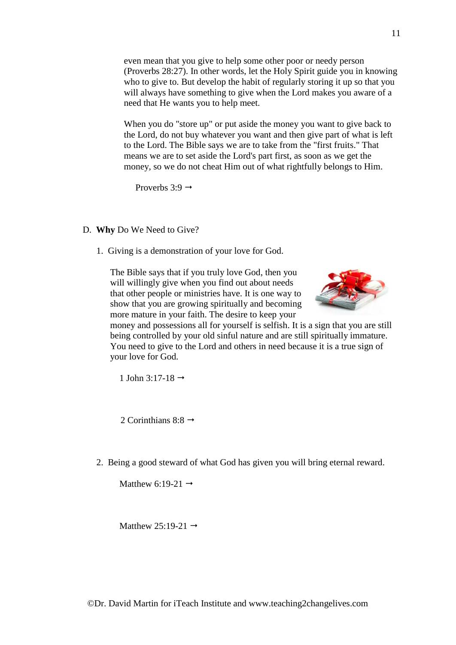even mean that you give to help some other poor or needy person (Proverbs 28:27). In other words, let the Holy Spirit guide you in knowing who to give to. But develop the habit of regularly storing it up so that you will always have something to give when the Lord makes you aware of a need that He wants you to help meet.

When you do "store up" or put aside the money you want to give back to the Lord, do not buy whatever you want and then give part of what is left to the Lord. The Bible says we are to take from the "first fruits." That means we are to set aside the Lord's part first, as soon as we get the money, so we do not cheat Him out of what rightfully belongs to Him.

Proverbs  $3:9 \rightarrow$ 

- D. **Why** Do We Need to Give?
	- 1. Giving is a demonstration of your love for God.

The Bible says that if you truly love God, then you will willingly give when you find out about needs that other people or ministries have. It is one way to show that you are growing spiritually and becoming more mature in your faith. The desire to keep your



money and possessions all for yourself is selfish. It is a sign that you are still being controlled by your old sinful nature and are still spiritually immature. You need to give to the Lord and others in need because it is a true sign of your love for God.

1 John 3:17-18  $\rightarrow$ 

2 Corinthians 8:8  $\rightarrow$ 

2. Being a good steward of what God has given you will bring eternal reward.

Matthew 6:19-21  $\rightarrow$ 

Matthew 25:19-21  $\rightarrow$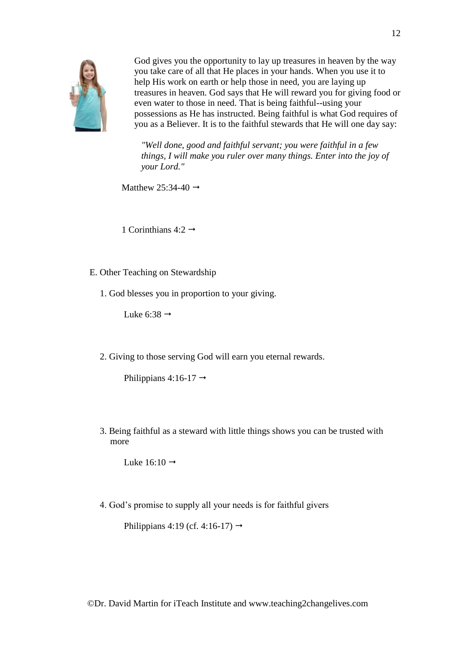

God gives you the opportunity to lay up treasures in heaven by the way you take care of all that He places in your hands. When you use it to help His work on earth or help those in need, you are laying up treasures in heaven. God says that He will reward you for giving food or even water to those in need. That is being faithful--using your possessions as He has instructed. Being faithful is what God requires of you as a Believer. It is to the faithful stewards that He will one day say:

*"Well done, good and faithful servant; you were faithful in a few things, I will make you ruler over many things. Enter into the joy of your Lord."*

Matthew 25:34-40  $\rightarrow$ 

1 Corinthians 4:2  $\rightarrow$ 

- E. Other Teaching on Stewardship
	- 1. God blesses you in proportion to your giving.

Luke 6:38  $\rightarrow$ 

2. Giving to those serving God will earn you eternal rewards.

Philippians 4:16-17  $\rightarrow$ 

3. Being faithful as a steward with little things shows you can be trusted with more

Luke  $16:10 \rightarrow$ 

4. God's promise to supply all your needs is for faithful givers

Philippians 4:19 (cf. 4:16-17)  $\rightarrow$